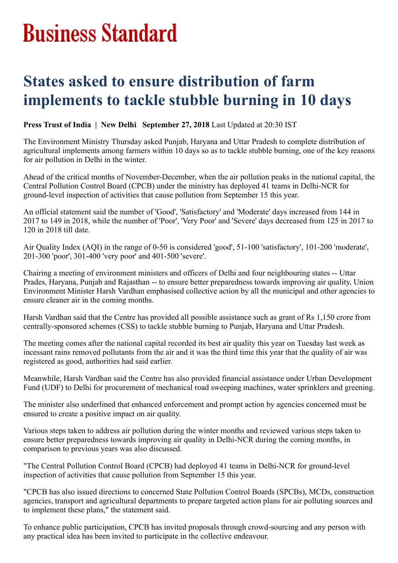## **Business Standard**

## **States asked to ensure distribution of farm implements to tackle stubble burning in 10 days**

**Press Trust of India | New Delhi September 27, 2018** Last Updated at 20:30 IST

The Environment Ministry Thursday asked Punjab, Haryana and Uttar Pradesh to complete distribution of agricultural implements among farmers within 10 days so as to tackle stubble burning, one of the key reasons for air pollution in Delhi in the winter.

Ahead of the critical months of November-December, when the air pollution peaks in the national capital, the Central Pollution Control Board (CPCB) under the ministry has deployed 41 teams in Delhi-NCR for ground-level inspection of activities that cause pollution from September 15 this year.

An official statement said the number of 'Good', 'Satisfactory' and 'Moderate' days increased from 144 in 2017 to 149 in 2018, while the number of 'Poor', 'Very Poor' and 'Severe' days decreased from 125 in 2017 to 120 in 2018 till date.

Air Quality Index (AQI) in the range of 0-50 is considered 'good', 51-100 'satisfactory', 101-200 'moderate', 201-300 'poor', 301-400 'very poor' and 401-500 'severe'.

Chairing a meeting of environment ministers and officers of Delhi and four neighbouring states -- Uttar Prades, Haryana, Punjab and Rajasthan -- to ensure better preparedness towards improving air quality, Union Environment Minister Harsh Vardhan emphasised collective action by all the municipal and other agencies to ensure cleaner air in the coming months.

Harsh Vardhan said that the Centre has provided all possible assistance such as grant of Rs 1,150 crore from centrally-sponsored schemes (CSS) to tackle stubble burning to Punjab, Haryana and Uttar Pradesh.

The meeting comes after the national capital recorded its best air quality this year on Tuesday last week as incessant rains removed pollutants from the air and it was the third time this year that the quality of air was registered as good, authorities had said earlier.

Meanwhile, Harsh Vardhan said the Centre has also provided financial assistance under Urban Development Fund (UDF) to Delhi for procurement of mechanical road sweeping machines, water sprinklers and greening.

The minister also underlined that enhanced enforcement and prompt action by agencies concerned must be ensured to create a positive impact on air quality.

Various steps taken to address air pollution during the winter months and reviewed various steps taken to ensure better preparedness towards improving air quality in Delhi-NCR during the coming months, in comparison to previous years was also discussed.

"The Central Pollution Control Board (CPCB) had deployed 41 teams in Delhi-NCR for ground-level inspection of activities that cause pollution from September 15 this year.

"CPCB has also issued directions to concerned State Pollution Control Boards (SPCBs), MCDs, construction agencies, transport and agricultural departments to prepare targeted action plans for air polluting sources and to implement these plans," the statement said.

To enhance public participation, CPCB has invited proposals through crowd-sourcing and any person with any practical idea has been invited to participate in the collective endeavour.